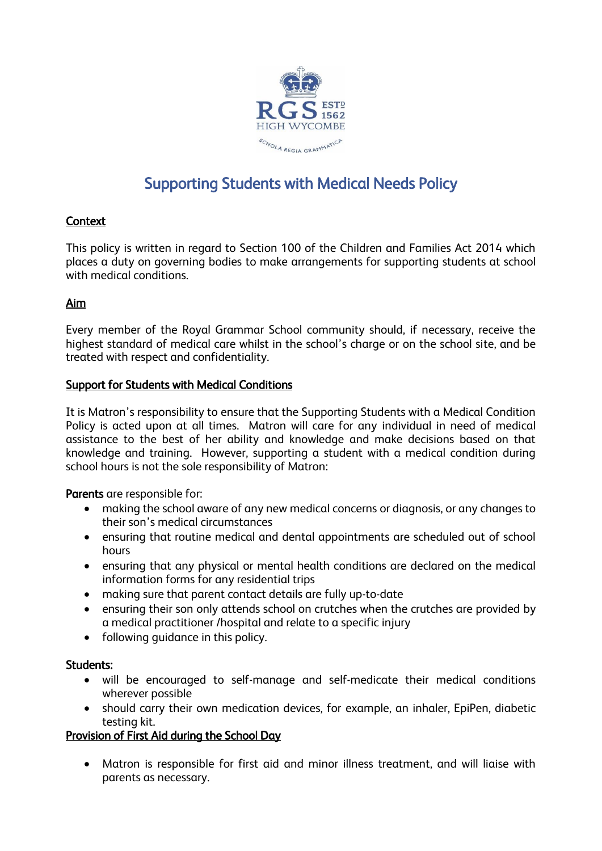

# Supporting Students with Medical Needs Policy

# **Context**

This policy is written in regard to Section 100 of the Children and Families Act 2014 which places a duty on governing bodies to make arrangements for supporting students at school with medical conditions.

# Aim

Every member of the Royal Grammar School community should, if necessary, receive the highest standard of medical care whilst in the school's charge or on the school site, and be treated with respect and confidentiality.

## Support for Students with Medical Conditions

It is Matron's responsibility to ensure that the Supporting Students with a Medical Condition Policy is acted upon at all times. Matron will care for any individual in need of medical assistance to the best of her ability and knowledge and make decisions based on that knowledge and training. However, supporting a student with a medical condition during school hours is not the sole responsibility of Matron:

Parents are responsible for:

- making the school aware of any new medical concerns or diagnosis, or any changes to their son's medical circumstances
- ensuring that routine medical and dental appointments are scheduled out of school hours
- ensuring that any physical or mental health conditions are declared on the medical information forms for any residential trips
- making sure that parent contact details are fully up-to-date
- ensuring their son only attends school on crutches when the crutches are provided by a medical practitioner /hospital and relate to a specific injury
- following guidance in this policy.

## Students:

- will be encouraged to self-manage and self-medicate their medical conditions wherever possible
- should carry their own medication devices, for example, an inhaler, EpiPen, diabetic testing kit.

# Provision of First Aid during the School Day

• Matron is responsible for first aid and minor illness treatment, and will liaise with parents as necessary.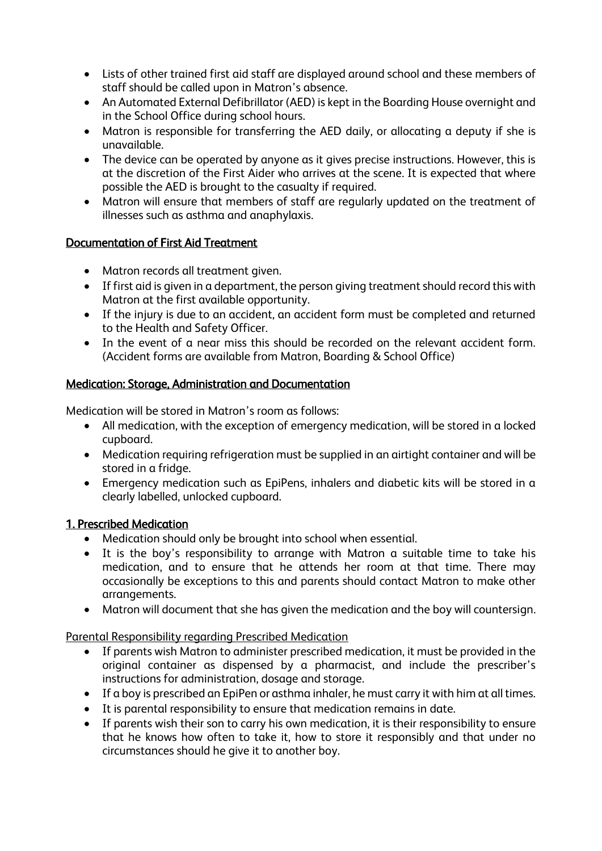- Lists of other trained first aid staff are displayed around school and these members of staff should be called upon in Matron's absence.
- An Automated External Defibrillator (AED) is kept in the Boarding House overnight and in the School Office during school hours.
- Matron is responsible for transferring the AED daily, or allocating a deputy if she is unavailable.
- The device can be operated by anyone as it gives precise instructions. However, this is at the discretion of the First Aider who arrives at the scene. It is expected that where possible the AED is brought to the casualty if required.
- Matron will ensure that members of staff are regularly updated on the treatment of illnesses such as asthma and anaphylaxis.

# Documentation of First Aid Treatment

- Matron records all treatment given.
- If first aid is given in a department, the person giving treatment should record this with Matron at the first available opportunity.
- If the injury is due to an accident, an accident form must be completed and returned to the Health and Safety Officer.
- In the event of a near miss this should be recorded on the relevant accident form. (Accident forms are available from Matron, Boarding & School Office)

# Medication: Storage, Administration and Documentation

Medication will be stored in Matron's room as follows:

- All medication, with the exception of emergency medication, will be stored in a locked cupboard.
- Medication requiring refrigeration must be supplied in an airtight container and will be stored in a fridge.
- Emergency medication such as EpiPens, inhalers and diabetic kits will be stored in a clearly labelled, unlocked cupboard.

## 1. Prescribed Medication

- Medication should only be brought into school when essential.
- It is the boy's responsibility to arrange with Matron a suitable time to take his medication, and to ensure that he attends her room at that time. There may occasionally be exceptions to this and parents should contact Matron to make other arrangements.
- Matron will document that she has given the medication and the boy will countersign.

Parental Responsibility regarding Prescribed Medication

- If parents wish Matron to administer prescribed medication, it must be provided in the original container as dispensed by a pharmacist, and include the prescriber's instructions for administration, dosage and storage.
- If a boy is prescribed an EpiPen or asthma inhaler, he must carry it with him at all times.
- It is parental responsibility to ensure that medication remains in date.
- If parents wish their son to carry his own medication, it is their responsibility to ensure that he knows how often to take it, how to store it responsibly and that under no circumstances should he give it to another boy.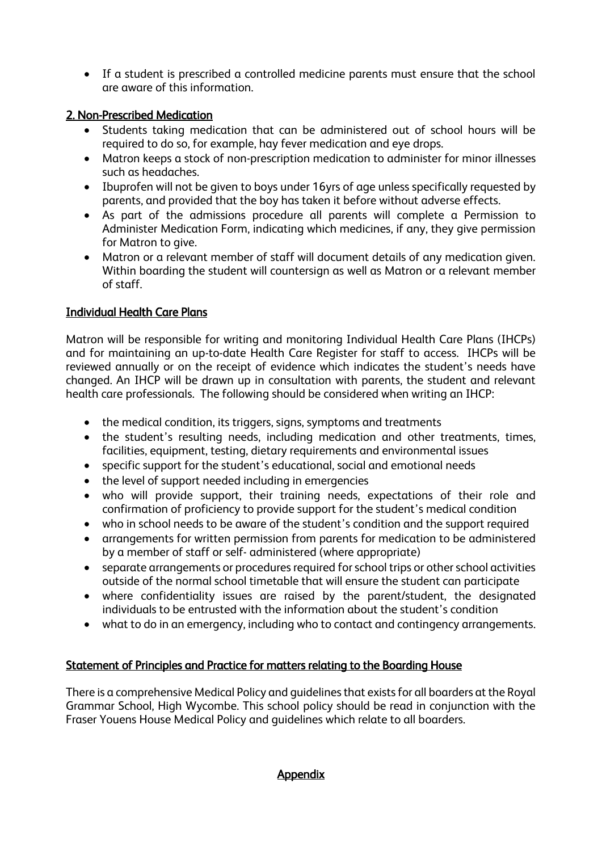• If a student is prescribed a controlled medicine parents must ensure that the school are aware of this information.

# 2. Non-Prescribed Medication

- Students taking medication that can be administered out of school hours will be required to do so, for example, hay fever medication and eye drops.
- Matron keeps a stock of non-prescription medication to administer for minor illnesses such as headaches.
- Ibuprofen will not be given to boys under 16yrs of age unless specifically requested by parents, and provided that the boy has taken it before without adverse effects.
- As part of the admissions procedure all parents will complete a Permission to Administer Medication Form, indicating which medicines, if any, they give permission for Matron to give.
- Matron or a relevant member of staff will document details of any medication given. Within boarding the student will countersign as well as Matron or a relevant member of staff.

# Individual Health Care Plans

Matron will be responsible for writing and monitoring Individual Health Care Plans (IHCPs) and for maintaining an up-to-date Health Care Register for staff to access. IHCPs will be reviewed annually or on the receipt of evidence which indicates the student's needs have changed. An IHCP will be drawn up in consultation with parents, the student and relevant health care professionals. The following should be considered when writing an IHCP:

- the medical condition, its triggers, signs, symptoms and treatments
- the student's resulting needs, including medication and other treatments, times, facilities, equipment, testing, dietary requirements and environmental issues
- specific support for the student's educational, social and emotional needs
- the level of support needed including in emergencies
- who will provide support, their training needs, expectations of their role and confirmation of proficiency to provide support for the student's medical condition
- who in school needs to be aware of the student's condition and the support required
- arrangements for written permission from parents for medication to be administered by a member of staff or self- administered (where appropriate)
- separate arrangements or procedures required for school trips or other school activities outside of the normal school timetable that will ensure the student can participate
- where confidentiality issues are raised by the parent/student, the designated individuals to be entrusted with the information about the student's condition
- what to do in an emergency, including who to contact and contingency arrangements.

## Statement of Principles and Practice for matters relating to the Boarding House

There is a comprehensive Medical Policy and guidelines that exists for all boarders at the Royal Grammar School, High Wycombe. This school policy should be read in conjunction with the Fraser Youens House Medical Policy and guidelines which relate to all boarders.

#### **Appendix**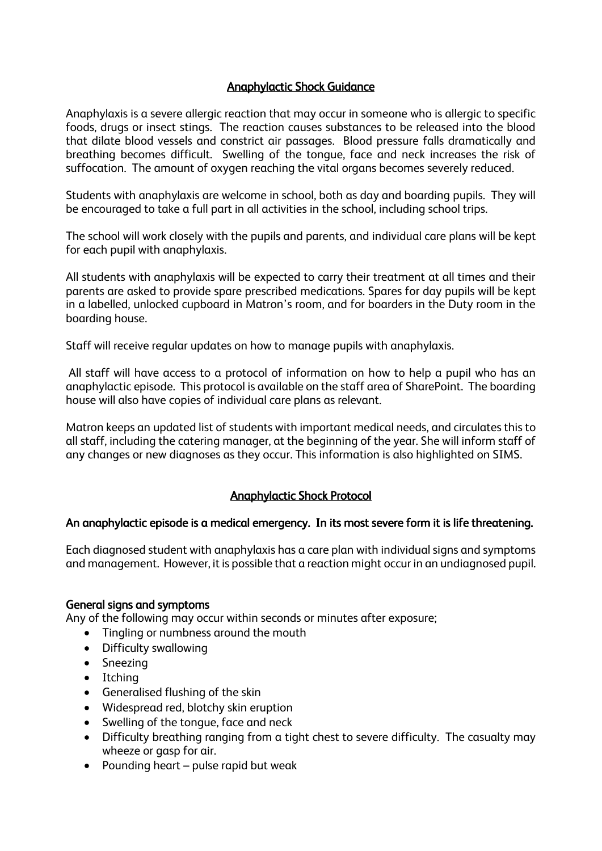# Anaphylactic Shock Guidance

Anaphylaxis is a severe allergic reaction that may occur in someone who is allergic to specific foods, drugs or insect stings. The reaction causes substances to be released into the blood that dilate blood vessels and constrict air passages. Blood pressure falls dramatically and breathing becomes difficult. Swelling of the tongue, face and neck increases the risk of suffocation. The amount of oxygen reaching the vital organs becomes severely reduced.

Students with anaphylaxis are welcome in school, both as day and boarding pupils. They will be encouraged to take a full part in all activities in the school, including school trips.

The school will work closely with the pupils and parents, and individual care plans will be kept for each pupil with anaphylaxis.

All students with anaphylaxis will be expected to carry their treatment at all times and their parents are asked to provide spare prescribed medications. Spares for day pupils will be kept in a labelled, unlocked cupboard in Matron's room, and for boarders in the Duty room in the boarding house.

Staff will receive regular updates on how to manage pupils with anaphylaxis.

All staff will have access to a protocol of information on how to help a pupil who has an anaphylactic episode. This protocol is available on the staff area of SharePoint. The boarding house will also have copies of individual care plans as relevant.

Matron keeps an updated list of students with important medical needs, and circulates this to all staff, including the catering manager, at the beginning of the year. She will inform staff of any changes or new diagnoses as they occur. This information is also highlighted on SIMS.

# Anaphylactic Shock Protocol

## An anaphylactic episode is a medical emergency. In its most severe form it is life threatening.

Each diagnosed student with anaphylaxis has a care plan with individual signs and symptoms and management. However, it is possible that a reaction might occur in an undiagnosed pupil.

#### General signs and symptoms

Any of the following may occur within seconds or minutes after exposure;

- Tingling or numbness around the mouth
- Difficulty swallowing
- Sneezing
- Itching
- Generalised flushing of the skin
- Widespread red, blotchy skin eruption
- Swelling of the tongue, face and neck
- Difficulty breathing ranging from a tight chest to severe difficulty. The casualty may wheeze or gasp for air.
- Pounding heart pulse rapid but weak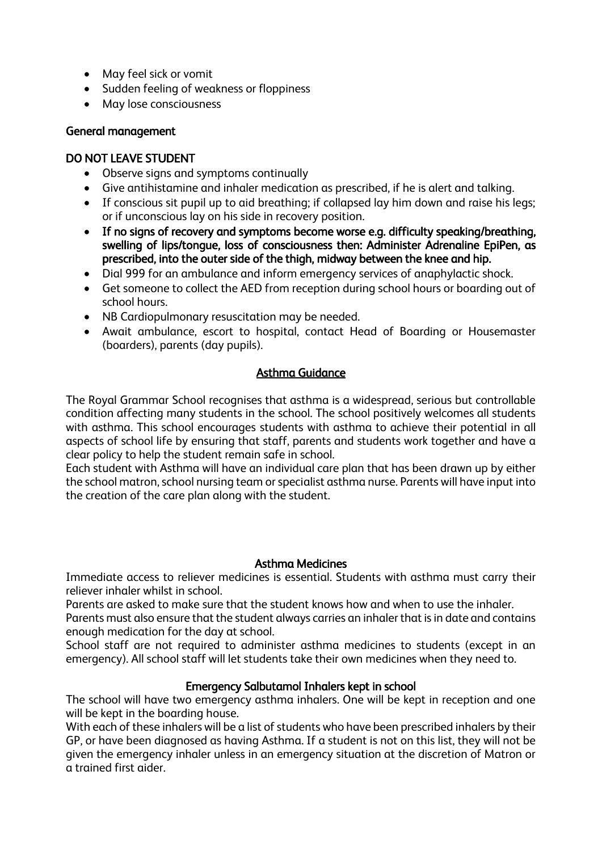- May feel sick or vomit
- Sudden feeling of weakness or floppiness
- May lose consciousness

## General management

# DO NOT LEAVE STUDENT

- Observe signs and symptoms continually
- Give antihistamine and inhaler medication as prescribed, if he is alert and talking.
- If conscious sit pupil up to aid breathing; if collapsed lay him down and raise his legs; or if unconscious lay on his side in recovery position.
- If no signs of recovery and symptoms become worse e.g. difficulty speaking/breathing, swelling of lips/tongue, loss of consciousness then: Administer Adrenaline EpiPen, as prescribed, into the outer side of the thigh, midway between the knee and hip.
- Dial 999 for an ambulance and inform emergency services of anaphylactic shock.
- Get someone to collect the AED from reception during school hours or boarding out of school hours.
- NB Cardiopulmonary resuscitation may be needed.
- Await ambulance, escort to hospital, contact Head of Boarding or Housemaster (boarders), parents (day pupils).

# Asthma Guidance

The Royal Grammar School recognises that asthma is a widespread, serious but controllable condition affecting many students in the school. The school positively welcomes all students with asthma. This school encourages students with asthma to achieve their potential in all aspects of school life by ensuring that staff, parents and students work together and have a clear policy to help the student remain safe in school.

Each student with Asthma will have an individual care plan that has been drawn up by either the school matron, school nursing team or specialist asthma nurse. Parents will have input into the creation of the care plan along with the student.

## Asthma Medicines

Immediate access to reliever medicines is essential. Students with asthma must carry their reliever inhaler whilst in school.

Parents are asked to make sure that the student knows how and when to use the inhaler.

Parents must also ensure that the student always carries an inhaler that is in date and contains enough medication for the day at school.

School staff are not required to administer asthma medicines to students (except in an emergency). All school staff will let students take their own medicines when they need to.

## Emergency Salbutamol Inhalers kept in school

The school will have two emergency asthma inhalers. One will be kept in reception and one will be kept in the boarding house.

With each of these inhalers will be a list of students who have been prescribed inhalers by their GP, or have been diagnosed as having Asthma. If a student is not on this list, they will not be given the emergency inhaler unless in an emergency situation at the discretion of Matron or a trained first aider.